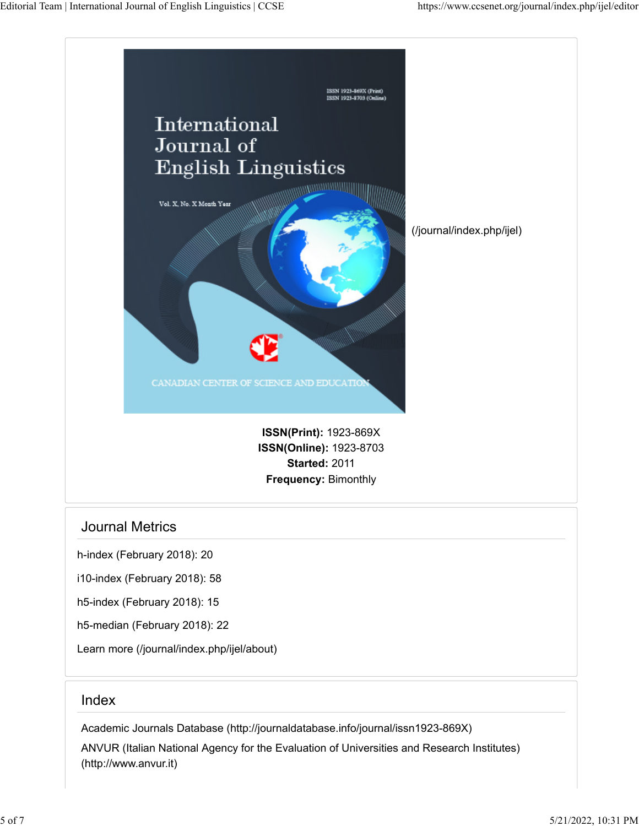

## Journal Metrics

h-index (February 2018): 20

i10-index (February 2018): 58

h5-index (February 2018): 15

h5-median (February 2018): 22

[Learn more \(/journal/index.php/ijel/about\)](https://www.ccsenet.org/journal/index.php/ijel/about)

## Index

[Academic Journals Database \(http://journaldatabase.info/journal/issn1923-869X\)](http://journaldatabase.info/journal/issn1923-869X) [ANVUR \(Italian National Agency for the Evaluation of Universities and Research Institutes\)](http://www.anvur.it/) [\(http://www.anvur.it\)](http://www.anvur.it/)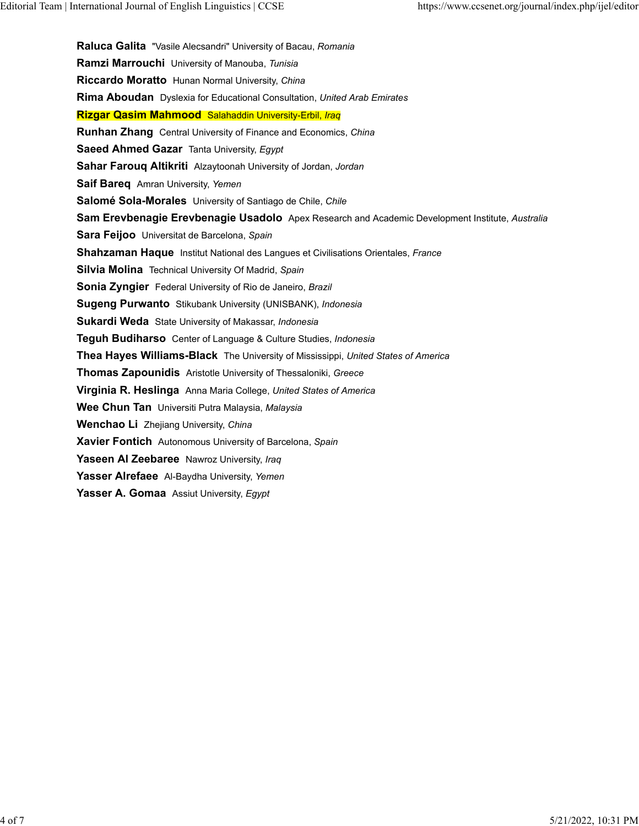**Raluca Galita** "Vasile Alecsandri" University of Bacau, *Romania* **Ramzi Marrouchi** University of Manouba, *Tunisia* **Riccardo Moratto** Hunan Normal University, *China* **Rima Aboudan** Dyslexia for Educational Consultation, *United Arab Emirates* **Rizgar Qasim Mahmood** Salahaddin University-Erbil, *Iraq* **Runhan Zhang** Central University of Finance and Economics, *China* **Saeed Ahmed Gazar** Tanta University, *Egypt* **Sahar Farouq Altikriti** Alzaytoonah University of Jordan, *Jordan* **Saif Bareq** Amran University, *Yemen* **Salomé Sola-Morales** University of Santiago de Chile, *Chile* **Sam Erevbenagie Erevbenagie Usadolo** Apex Research and Academic Development Institute, *Australia* **Sara Feijoo** Universitat de Barcelona, *Spain* **Shahzaman Haque** Institut National des Langues et Civilisations Orientales, *France* **Silvia Molina** Technical University Of Madrid, *Spain* **Sonia Zyngier** Federal University of Rio de Janeiro, *Brazil* **Sugeng Purwanto** Stikubank University (UNISBANK), *Indonesia* **Sukardi Weda** State University of Makassar, *Indonesia* **Teguh Budiharso** Center of Language & Culture Studies, *Indonesia* **Thea Hayes Williams-Black** The University of Mississippi, *United States of America* **Thomas Zapounidis** Aristotle University of Thessaloniki, *Greece* **Virginia R. Heslinga** Anna Maria College, *United States of America* **Wee Chun Tan** Universiti Putra Malaysia, *Malaysia* **Wenchao Li** Zhejiang University, *China* **Xavier Fontich** Autonomous University of Barcelona, *Spain* **Yaseen Al Zeebaree** Nawroz University, *Iraq* **Yasser Alrefaee** Al-Baydha University, *Yemen* **Yasser A. Gomaa** Assiut University, *Egypt*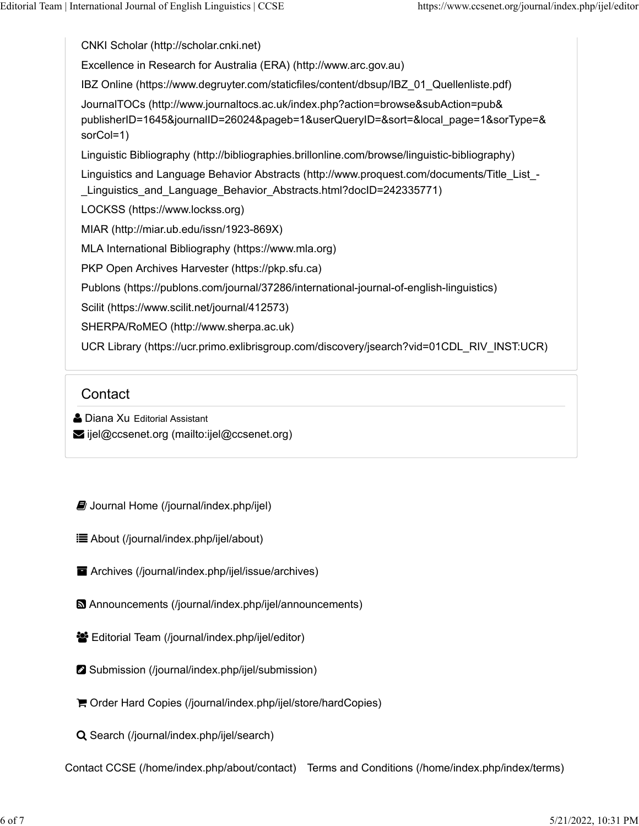[CNKI Scholar \(http://scholar.cnki.net\)](http://scholar.cnki.net/) [Excellence in Research for Australia \(ERA\) \(http://www.arc.gov.au\)](http://www.arc.gov.au/) [IBZ Online \(https://www.degruyter.com/staticfiles/content/dbsup/IBZ\\_01\\_Quellenliste.pdf\)](https://www.degruyter.com/staticfiles/content/dbsup/IBZ_01_Quellenliste.pdf) [JournalTOCs \(http://www.journaltocs.ac.uk/index.php?action=browse&subAction=pub&](http://www.journaltocs.ac.uk/index.php?action=browse&subAction=pub&publisherID=1645&journalID=26024&pageb=1&userQueryID=&sort=&local_page=1&sorType=&sorCol=1) [publisherID=1645&journalID=26024&pageb=1&userQueryID=&sort=&local\\_page=1&sorType=&](http://www.journaltocs.ac.uk/index.php?action=browse&subAction=pub&publisherID=1645&journalID=26024&pageb=1&userQueryID=&sort=&local_page=1&sorType=&sorCol=1) [sorCol=1\)](http://www.journaltocs.ac.uk/index.php?action=browse&subAction=pub&publisherID=1645&journalID=26024&pageb=1&userQueryID=&sort=&local_page=1&sorType=&sorCol=1) [Linguistic Bibliography \(http://bibliographies.brillonline.com/browse/linguistic-bibliography\)](http://bibliographies.brillonline.com/browse/linguistic-bibliography) [Linguistics and Language Behavior Abstracts \(http://www.proquest.com/documents/Title\\_List\\_-](http://www.proquest.com/documents/Title_List_-_Linguistics_and_Language_Behavior_Abstracts.html?docID=242335771) [\\_Linguistics\\_and\\_Language\\_Behavior\\_Abstracts.html?docID=242335771\)](http://www.proquest.com/documents/Title_List_-_Linguistics_and_Language_Behavior_Abstracts.html?docID=242335771) [LOCKSS \(https://www.lockss.org\)](https://www.lockss.org/) [MIAR \(http://miar.ub.edu/issn/1923-869X\)](http://miar.ub.edu/issn/1923-869X) [MLA International Bibliography \(https://www.mla.org\)](https://www.mla.org/) [PKP Open Archives Harvester \(https://pkp.sfu.ca\)](https://pkp.sfu.ca/) [Publons \(https://publons.com/journal/37286/international-journal-of-english-linguistics\)](https://publons.com/journal/37286/international-journal-of-english-linguistics) [Scilit \(https://www.scilit.net/journal/412573\)](https://www.scilit.net/journal/412573) [SHERPA/RoMEO \(http://www.sherpa.ac.uk\)](http://www.sherpa.ac.uk/) [UCR Library \(https://ucr.primo.exlibrisgroup.com/discovery/jsearch?vid=01CDL\\_RIV\\_INST:UCR\)](https://ucr.primo.exlibrisgroup.com/discovery/jsearch?vid=01CDL_RIV_INST:UCR)

## **Contact**

- **A** Diana Xu Editorial Assistant
- [ijel@ccsenet.org \(mailto:ijel@ccsenet.org\)](mailto:ijel@ccsenet.org)

 $\Box$  [Journal Home \(/journal/index.php/ijel\)](https://www.ccsenet.org/journal/index.php/ijel)

 [About \(/journal/index.php/ijel/about\)](https://www.ccsenet.org/journal/index.php/ijel/about)

- [Archives \(/journal/index.php/ijel/issue/archives\)](https://www.ccsenet.org/journal/index.php/ijel/issue/archives)
- [Announcements \(/journal/index.php/ijel/announcements\)](https://www.ccsenet.org/journal/index.php/ijel/announcements)
- **Editorial Team (/journal/index.php/ijel/editor)**
- Submission (/journal/index.php/ijel/submission)
- [Order Hard Copies \(/journal/index.php/ijel/store/hardCopies\)](https://www.ccsenet.org/journal/index.php/ijel/store/hardCopies)

Q [Search \(/journal/index.php/ijel/search\)](https://www.ccsenet.org/journal/index.php/ijel/search)

[Contact CCSE \(/home/index.php/about/contact\)](https://www.ccsenet.org/home/index.php/about/contact) [Terms and Conditions \(/home/index.php/index/terms\)](https://www.ccsenet.org/home/index.php/index/terms)